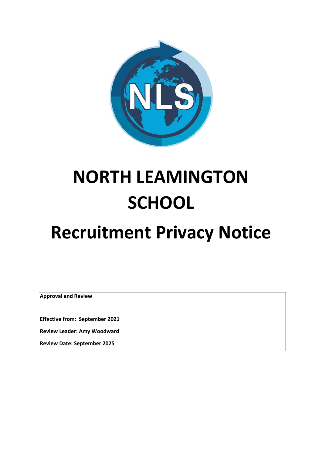

# **NORTH LEAMINGTON SCHOOL**

# **Recruitment Privacy Notice**

**Approval and Review**

**Effective from: September 2021**

**Review Leader: Amy Woodward**

**Review Date: September 2025**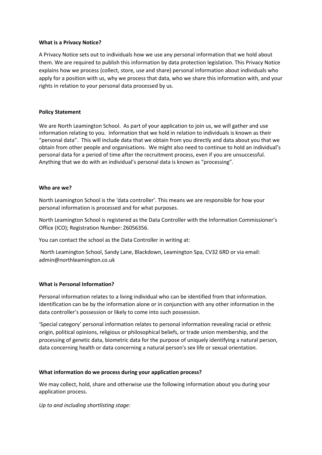#### **What is a Privacy Notice?**

A Privacy Notice sets out to individuals how we use any personal information that we hold about them. We are required to publish this information by data protection legislation. This Privacy Notice explains how we process (collect, store, use and share) personal information about individuals who apply for a position with us, why we process that data, who we share this information with, and your rights in relation to your personal data processed by us.

# **Policy Statement**

We are North Leamington School. As part of your application to join us, we will gather and use information relating to you. Information that we hold in relation to individuals is known as their "personal data". This will include data that we obtain from you directly and data about you that we obtain from other people and organisations. We might also need to continue to hold an individual's personal data for a period of time after the recruitment process, even if you are unsuccessful. Anything that we do with an individual's personal data is known as "processing".

#### **Who are we?**

North Leamington School is the 'data controller'. This means we are responsible for how your personal information is processed and for what purposes.

North Leamington School is registered as the Data Controller with the Information Commissioner's Office (ICO); Registration Number: Z6056356.

You can contact the school as the Data Controller in writing at:

North Leamington School, Sandy Lane, Blackdown, Leamington Spa, CV32 6RD or via email: admin@northleamington.co.uk

# **What is Personal Information?**

Personal information relates to a living individual who can be identified from that information. Identification can be by the information alone or in conjunction with any other information in the data controller's possession or likely to come into such possession.

'Special category' personal information relates to personal information revealing racial or ethnic origin, political opinions, religious or philosophical beliefs, or trade union membership, and the processing of genetic data, biometric data for the purpose of uniquely identifying a natural person, data concerning health or data concerning a natural person's sex life or sexual orientation.

# **What information do we process during your application process?**

We may collect, hold, share and otherwise use the following information about you during your application process.

*Up to and including shortlisting stage:*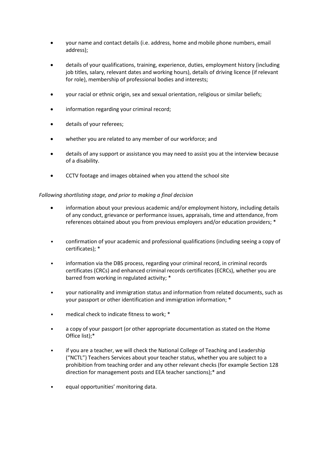- your name and contact details (i.e. address, home and mobile phone numbers, email address);
- details of your qualifications, training, experience, duties, employment history (including job titles, salary, relevant dates and working hours), details of driving licence (if relevant for role), membership of professional bodies and interests;
- your racial or ethnic origin, sex and sexual orientation, religious or similar beliefs;
- information regarding your criminal record;
- details of your referees;
- whether you are related to any member of our workforce; and
- details of any support or assistance you may need to assist you at the interview because of a disability.
- CCTV footage and images obtained when you attend the school site

# *Following shortlisting stage, and prior to making a final decision*

- information about your previous academic and/or employment history, including details of any conduct, grievance or performance issues, appraisals, time and attendance, from references obtained about you from previous employers and/or education providers; \*
- confirmation of your academic and professional qualifications (including seeing a copy of certificates); \*
- information via the DBS process, regarding your criminal record, in criminal records certificates (CRCs) and enhanced criminal records certificates (ECRCs), whether you are barred from working in regulated activity; \*
- your nationality and immigration status and information from related documents, such as your passport or other identification and immigration information; \*
- medical check to indicate fitness to work; \*
- a copy of your passport (or other appropriate documentation as stated on the Home Office list);\*
- if you are a teacher, we will check the National College of Teaching and Leadership ("NCTL") Teachers Services about your teacher status, whether you are subject to a prohibition from teaching order and any other relevant checks (for example Section 128 direction for management posts and EEA teacher sanctions);\* and
- equal opportunities' monitoring data.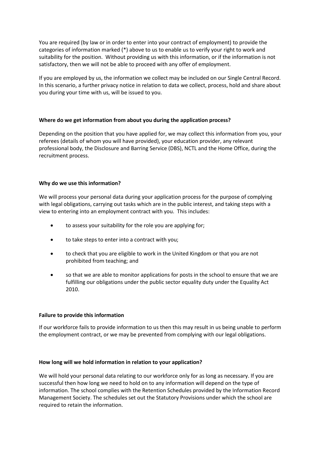You are required (by law or in order to enter into your contract of employment) to provide the categories of information marked (\*) above to us to enable us to verify your right to work and suitability for the position. Without providing us with this information, or if the information is not satisfactory, then we will not be able to proceed with any offer of employment.

If you are employed by us, the information we collect may be included on our Single Central Record. In this scenario, a further privacy notice in relation to data we collect, process, hold and share about you during your time with us, will be issued to you.

# **Where do we get information from about you during the application process?**

Depending on the position that you have applied for, we may collect this information from you, your referees (details of whom you will have provided), your education provider, any relevant professional body, the Disclosure and Barring Service (DBS), NCTL and the Home Office, during the recruitment process.

# **Why do we use this information?**

We will process your personal data during your application process for the purpose of complying with legal obligations, carrying out tasks which are in the public interest, and taking steps with a view to entering into an employment contract with you. This includes:

- to assess your suitability for the role you are applying for;
- to take steps to enter into a contract with you;
- to check that you are eligible to work in the United Kingdom or that you are not prohibited from teaching; and
- so that we are able to monitor applications for posts in the school to ensure that we are fulfilling our obligations under the public sector equality duty under the Equality Act 2010.

# **Failure to provide this information**

If our workforce fails to provide information to us then this may result in us being unable to perform the employment contract, or we may be prevented from complying with our legal obligations.

# **How long will we hold information in relation to your application?**

We will hold your personal data relating to our workforce only for as long as necessary. If you are successful then how long we need to hold on to any information will depend on the type of information. The school complies with the Retention Schedules provided by the Information Record Management Society. The schedules set out the Statutory Provisions under which the school are required to retain the information.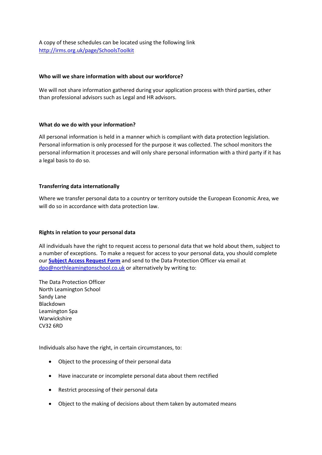A copy of these schedules can be located using the following link <http://irms.org.uk/page/SchoolsToolkit>

#### **Who will we share information with about our workforce?**

We will not share information gathered during your application process with third parties, other than professional advisors such as Legal and HR advisors.

#### **What do we do with your information?**

All personal information is held in a manner which is compliant with data protection legislation. Personal information is only processed for the purpose it was collected. The school monitors the personal information it processes and will only share personal information with a third party if it has a legal basis to do so.

#### **Transferring data internationally**

Where we transfer personal data to a country or territory outside the European Economic Area, we will do so in accordance with data protection law.

#### **Rights in relation to your personal data**

All individuals have the right to request access to personal data that we hold about them, subject to a number of exceptions. To make a request for access to your personal data, you should complete our **[Subject Access Request Form](https://northleamingtonschool.warwickshire.sch.uk/attachments/article/311/NLS%20Subject%20Access%20Procedure%20%20Form%20May%202018.pdf)** and send to the Data Protection Officer via email at [dpo@northleamingtonschool.co.uk](mailto:dpo@northleamingtonschool.co.uk) or alternatively by writing to:

The Data Protection Officer North Leamington School Sandy Lane Blackdown Leamington Spa Warwickshire CV32 6RD

Individuals also have the right, in certain circumstances, to:

- Object to the processing of their personal data
- Have inaccurate or incomplete personal data about them rectified
- Restrict processing of their personal data
- Object to the making of decisions about them taken by automated means